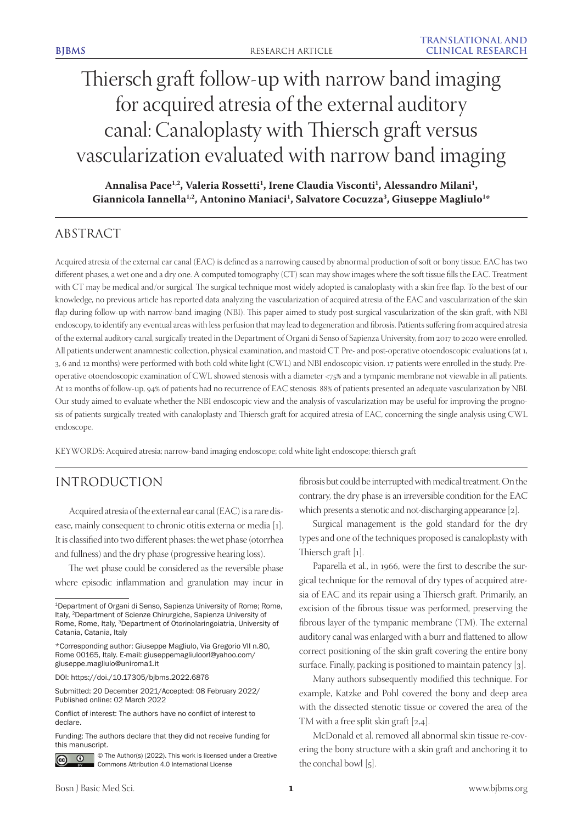# Thiersch graft follow-up with narrow band imaging for acquired atresia of the external auditory canal: Canaloplasty with Thiersch graft versus vascularization evaluated with narrow band imaging

Annalisa Pace<sup>1,2</sup>, Valeria Rossetti<sup>1</sup>, Irene Claudia Visconti<sup>1</sup>, Alessandro Milani<sup>1</sup>,  $\bm{G}$ iannicola Iannella<sup>1,2</sup>, Antonino Maniaci<sup>1</sup>, Salvatore Cocuzza<sup>3</sup>, Giuseppe Magliulo<sup>1</sup>\*

# ABSTRACT

Acquired atresia of the external ear canal (EAC) is defined as a narrowing caused by abnormal production of soft or bony tissue. EAC has two different phases, a wet one and a dry one. A computed tomography (CT) scan may show images where the soft tissue fills the EAC. Treatment with CT may be medical and/or surgical. The surgical technique most widely adopted is canaloplasty with a skin free flap. To the best of our knowledge, no previous article has reported data analyzing the vascularization of acquired atresia of the EAC and vascularization of the skin flap during follow-up with narrow-band imaging (NBI). This paper aimed to study post-surgical vascularization of the skin graft, with NBI endoscopy, to identify any eventual areas with less perfusion that may lead to degeneration and fibrosis. Patients suffering from acquired atresia of the external auditory canal, surgically treated in the Department of Organi di Senso of Sapienza University, from 2017 to 2020 were enrolled. All patients underwent anamnestic collection, physical examination, and mastoid CT. Pre- and post-operative otoendoscopic evaluations (at 1, 3, 6 and 12 months) were performed with both cold white light (CWL) and NBI endoscopic vision. 17 patients were enrolled in the study. Preoperative otoendoscopic examination of CWL showed stenosis with a diameter <75% and a tympanic membrane not viewable in all patients. At 12 months of follow-up, 94% of patients had no recurrence of EAC stenosis. 88% of patients presented an adequate vascularization by NBI. Our study aimed to evaluate whether the NBI endoscopic view and the analysis of vascularization may be useful for improving the prognosis of patients surgically treated with canaloplasty and Thiersch graft for acquired atresia of EAC, concerning the single analysis using CWL endoscope.

KEYWORDS: Acquired atresia; narrow-band imaging endoscope; cold white light endoscope; thiersch graft

## INTRODUCTION

Acquired atresia of the external ear canal (EAC) is a rare disease, mainly consequent to chronic otitis externa or media [1]. It is classified into two different phases: the wet phase (otorrhea and fullness) and the dry phase (progressive hearing loss).

The wet phase could be considered as the reversible phase where episodic inflammation and granulation may incur in

DOI: https://doi./10.17305/bjbms.2022.6876

Submitted: 20 December 2021/Accepted: 08 February 2022/ Published online: 02 March 2022

Funding: The authors declare that they did not receive funding for this manuscript.



© The Author(s) (2022). This work is licensed under a Creative Commons Attribution 4.0 International License

fibrosis but could be interrupted with medical treatment. On the contrary, the dry phase is an irreversible condition for the EAC which presents a stenotic and not-discharging appearance [2].

Surgical management is the gold standard for the dry types and one of the techniques proposed is canaloplasty with Thiersch graft [1].

Paparella et al., in 1966, were the first to describe the surgical technique for the removal of dry types of acquired atresia of EAC and its repair using a Thiersch graft. Primarily, an excision of the fibrous tissue was performed, preserving the fibrous layer of the tympanic membrane (TM). The external auditory canal was enlarged with a burr and flattened to allow correct positioning of the skin graft covering the entire bony surface. Finally, packing is positioned to maintain patency [3].

Many authors subsequently modified this technique. For example, Katzke and Pohl covered the bony and deep area with the dissected stenotic tissue or covered the area of the TM with a free split skin graft [2,4].

McDonald et al. removed all abnormal skin tissue re-covering the bony structure with a skin graft and anchoring it to the conchal bowl [5].

<sup>&</sup>lt;sup>1</sup>Department of Organi di Senso, Sapienza University of Rome; Rome, Italy, 2Department of Scienze Chirurgiche, Sapienza University of Rome, Rome, Italy, 3Department of Otorinolaringoiatria, University of Catania, Catania, Italy

<sup>\*</sup>Corresponding author: Giuseppe Magliulo, Via Gregorio VII n.80, Rome 00165, Italy. E-mail: giuseppemagliuloorl@yahoo.com/ giuseppe.magliulo@uniroma1.it

Conflict of interest: The authors have no conflict of interest to declare.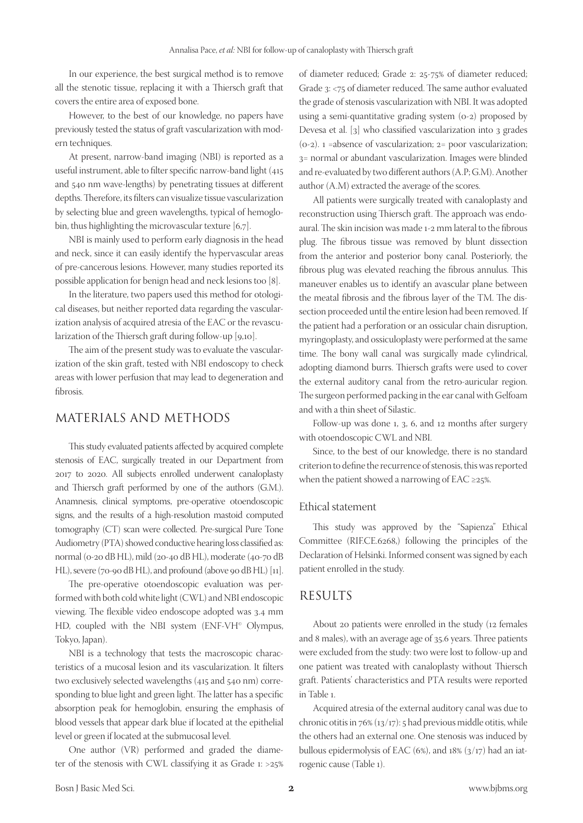In our experience, the best surgical method is to remove all the stenotic tissue, replacing it with a Thiersch graft that covers the entire area of exposed bone.

However, to the best of our knowledge, no papers have previously tested the status of graft vascularization with modern techniques.

At present, narrow-band imaging (NBI) is reported as a useful instrument, able to filter specific narrow-band light (415 and 540 nm wave-lengths) by penetrating tissues at different depths. Therefore, its filters can visualize tissue vascularization by selecting blue and green wavelengths, typical of hemoglobin, thus highlighting the microvascular texture [6,7].

NBI is mainly used to perform early diagnosis in the head and neck, since it can easily identify the hypervascular areas of pre-cancerous lesions. However, many studies reported its possible application for benign head and neck lesions too [8].

In the literature, two papers used this method for otological diseases, but neither reported data regarding the vascularization analysis of acquired atresia of the EAC or the revascularization of the Thiersch graft during follow-up [9,10].

The aim of the present study was to evaluate the vascularization of the skin graft, tested with NBI endoscopy to check areas with lower perfusion that may lead to degeneration and fibrosis.

### MATERIALS AND METHODS

This study evaluated patients affected by acquired complete stenosis of EAC, surgically treated in our Department from 2017 to 2020. All subjects enrolled underwent canaloplasty and Thiersch graft performed by one of the authors (G.M.). Anamnesis, clinical symptoms, pre-operative otoendoscopic signs, and the results of a high-resolution mastoid computed tomography (CT) scan were collected. Pre-surgical Pure Tone Audiometry (PTA) showed conductive hearing loss classified as: normal (0-20 dB HL), mild (20-40 dB HL), moderate (40-70 dB HL), severe (70-90 dB HL), and profound (above 90 dB HL) [11].

The pre-operative otoendoscopic evaluation was performed with both cold white light (CWL) and NBI endoscopic viewing. The flexible video endoscope adopted was 3.4 mm HD, coupled with the NBI system (ENF-VH<sup>®</sup> Olympus, Tokyo, Japan).

NBI is a technology that tests the macroscopic characteristics of a mucosal lesion and its vascularization. It filters two exclusively selected wavelengths (415 and 540 nm) corresponding to blue light and green light. The latter has a specific absorption peak for hemoglobin, ensuring the emphasis of blood vessels that appear dark blue if located at the epithelial level or green if located at the submucosal level.

One author (VR) performed and graded the diameter of the stenosis with CWL classifying it as Grade 1: >25% of diameter reduced; Grade 2: 25-75% of diameter reduced; Grade 3: <75 of diameter reduced. The same author evaluated the grade of stenosis vascularization with NBI. It was adopted using a semi-quantitative grading system (0-2) proposed by Devesa et al. [3] who classified vascularization into 3 grades (0-2). 1 =absence of vascularization; 2= poor vascularization; 3= normal or abundant vascularization. Images were blinded and re-evaluated by two different authors (A.P; G.M). Another author (A.M) extracted the average of the scores.

All patients were surgically treated with canaloplasty and reconstruction using Thiersch graft. The approach was endoaural. The skin incision was made 1-2 mm lateral to the fibrous plug. The fibrous tissue was removed by blunt dissection from the anterior and posterior bony canal. Posteriorly, the fibrous plug was elevated reaching the fibrous annulus. This maneuver enables us to identify an avascular plane between the meatal fibrosis and the fibrous layer of the TM. The dissection proceeded until the entire lesion had been removed. If the patient had a perforation or an ossicular chain disruption, myringoplasty, and ossiculoplasty were performed at the same time. The bony wall canal was surgically made cylindrical, adopting diamond burrs. Thiersch grafts were used to cover the external auditory canal from the retro-auricular region. The surgeon performed packing in the ear canal with Gelfoam and with a thin sheet of Silastic.

Follow-up was done 1, 3, 6, and 12 months after surgery with otoendoscopic CWL and NBI.

Since, to the best of our knowledge, there is no standard criterion to define the recurrence of stenosis, this was reported when the patient showed a narrowing of EAC ≥25%.

#### Ethical statement

This study was approved by the "Sapienza" Ethical Committee (RIF.CE.6268,) following the principles of the Declaration of Helsinki. Informed consent was signed by each patient enrolled in the study.

#### RESULTS

About 20 patients were enrolled in the study (12 females and 8 males), with an average age of 35.6 years. Three patients were excluded from the study: two were lost to follow-up and one patient was treated with canaloplasty without Thiersch graft. Patients' characteristics and PTA results were reported in Table 1.

Acquired atresia of the external auditory canal was due to chronic otitis in 76% (13/17): 5 had previous middle otitis, while the others had an external one. One stenosis was induced by bullous epidermolysis of EAC (6%), and 18% (3/17) had an iatrogenic cause (Table 1).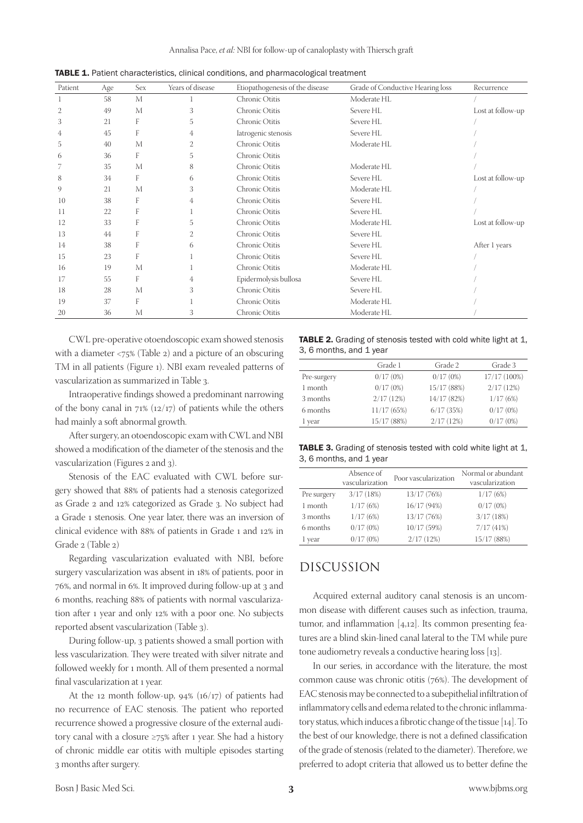| Patient | Age | Sex | Years of disease | Etiopathogenesis of the disease | Grade of Conductive Hearing loss | Recurrence        |
|---------|-----|-----|------------------|---------------------------------|----------------------------------|-------------------|
|         | 58  | M   |                  | Chronic Otitis                  | Moderate HL                      |                   |
| 2       | 49  | M   | 3                | Chronic Otitis                  | Severe HL                        | Lost at follow-up |
| 3       | 21  | F   | 5                | Chronic Otitis                  | Severe HL                        |                   |
| 4       | 45  | F   | 4                | latrogenic stenosis             | Severe HL                        |                   |
| 5       | 40  | M   | 2                | Chronic Otitis                  | Moderate HL                      |                   |
| 6       | 36  | F   | 5                | Chronic Otitis                  |                                  |                   |
| 7       | 35  | M   | 8                | Chronic Otitis                  | Moderate HL                      |                   |
| 8       | 34  | F   | 6                | Chronic Otitis                  | Severe HL                        | Lost at follow-up |
| 9       | 21  | M   | 3                | Chronic Otitis                  | Moderate HL                      |                   |
| 10      | 38  | F   | 4                | Chronic Otitis                  | Severe HL                        |                   |
| 11      | 22  | F   |                  | Chronic Otitis                  | Severe HL                        |                   |
| 12      | 33  | F   | 5                | Chronic Otitis                  | Moderate HL                      | Lost at follow-up |
| 13      | 44  | F   | 2                | Chronic Otitis                  | Severe HL                        |                   |
| 14      | 38  | F   | 6                | Chronic Otitis                  | Severe HL                        | After 1 years     |
| 15      | 23  | F   |                  | Chronic Otitis                  | Severe HL                        |                   |
| 16      | 19  | M   |                  | Chronic Otitis                  | Moderate HL                      |                   |
| 17      | 55  | F   | 4                | Epidermolysis bullosa           | Severe HL                        |                   |
| 18      | 28  | M   | 3                | Chronic Otitis                  | Severe HL                        |                   |
| 19      | 37  | F   |                  | Chronic Otitis                  | Moderate HL                      |                   |
| 20      | 36  | M   | 3                | Chronic Otitis                  | Moderate HL                      |                   |

CWL pre-operative otoendoscopic exam showed stenosis with a diameter <75% (Table 2) and a picture of an obscuring TM in all patients (Figure 1). NBI exam revealed patterns of vascularization as summarized in Table 3.

Intraoperative findings showed a predominant narrowing of the bony canal in  $71\%$  ( $12/17$ ) of patients while the others had mainly a soft abnormal growth.

After surgery, an otoendoscopic exam with CWL and NBI showed a modification of the diameter of the stenosis and the vascularization (Figures 2 and 3).

Stenosis of the EAC evaluated with CWL before surgery showed that 88% of patients had a stenosis categorized as Grade 2 and 12% categorized as Grade 3. No subject had a Grade 1 stenosis. One year later, there was an inversion of clinical evidence with 88% of patients in Grade 1 and 12% in Grade 2 (Table 2)

Regarding vascularization evaluated with NBI, before surgery vascularization was absent in 18% of patients, poor in 76%, and normal in 6%. It improved during follow-up at 3 and 6 months, reaching 88% of patients with normal vascularization after 1 year and only 12% with a poor one. No subjects reported absent vascularization (Table 3).

During follow-up, 3 patients showed a small portion with less vascularization. They were treated with silver nitrate and followed weekly for 1 month. All of them presented a normal final vascularization at 1 year.

At the 12 month follow-up,  $94\%$  (16/17) of patients had no recurrence of EAC stenosis. The patient who reported recurrence showed a progressive closure of the external auditory canal with a closure ≥75% after 1 year. She had a history of chronic middle ear otitis with multiple episodes starting 3 months after surgery.

TABLE 2. Grading of stenosis tested with cold white light at 1, 3, 6 months, and 1 year

|             | Grade 1     | Grade 2     | Grade 3      |
|-------------|-------------|-------------|--------------|
| Pre-surgery | 0/17(0%)    | 0/17(0%)    | 17/17 (100%) |
| 1 month     | 0/17(0%)    | 15/17 (88%) | 2/17(12%)    |
| 3 months    | 2/17(12%)   | 14/17 (82%) | 1/17(6%)     |
| 6 months    | 11/17(65%)  | 6/17(35%)   | 0/17(0%)     |
| 1 vear      | 15/17 (88%) | 2/17(12%)   | 0/17(0%)     |

TABLE 3. Grading of stenosis tested with cold white light at 1, 3, 6 months, and 1 year

|             | Absence of<br>vascularization | Poor vascularization | Normal or abundant<br>vascularization |
|-------------|-------------------------------|----------------------|---------------------------------------|
| Pre surgery | 3/17(18%)                     | 13/17 (76%)          | 1/17(6%)                              |
| 1 month     | 1/17(6%)                      | 16/17 (94%)          | 0/17(0%)                              |
| 3 months    | 1/17(6%)                      | 13/17 (76%)          | 3/17(18%)                             |
| 6 months    | 0/17(0%)                      | 10/17 (59%)          | 7/17(41%)                             |
| 1 year      | 0/17(0%)                      | 2/17(12%)            | 15/17 (88%)                           |

## DISCUSSION

Acquired external auditory canal stenosis is an uncommon disease with different causes such as infection, trauma, tumor, and inflammation [4,12]. Its common presenting features are a blind skin-lined canal lateral to the TM while pure tone audiometry reveals a conductive hearing loss [13].

In our series, in accordance with the literature, the most common cause was chronic otitis (76%). The development of EAC stenosis may be connected to a subepithelial infiltration of inflammatory cells and edema related to the chronic inflammatory status, which induces a fibrotic change of the tissue [14]. To the best of our knowledge, there is not a defined classification of the grade of stenosis (related to the diameter). Therefore, we preferred to adopt criteria that allowed us to better define the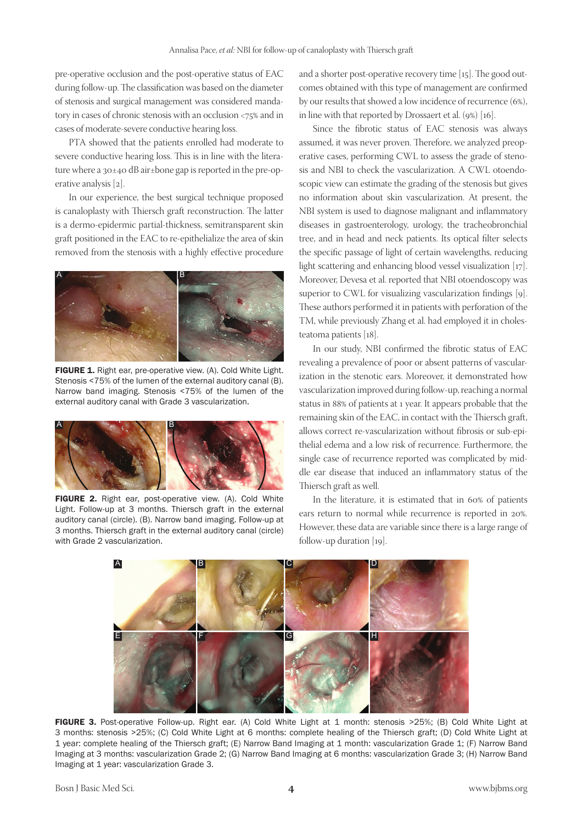pre-operative occlusion and the post-operative status of EAC during follow-up. The classification was based on the diameter of stenosis and surgical management was considered mandatory in cases of chronic stenosis with an occlusion <75% and in cases of moderate-severe conductive hearing loss.

PTA showed that the patients enrolled had moderate to severe conductive hearing loss. This is in line with the literature where a 30±40 dB air±bone gap is reported in the pre-operative analysis [2].

In our experience, the best surgical technique proposed is canaloplasty with Thiersch graft reconstruction. The latter is a dermo-epidermic partial-thickness, semitransparent skin graft positioned in the EAC to re-epithelialize the area of skin removed from the stenosis with a highly effective procedure



FIGURE 1. Right ear, pre-operative view. (A). Cold White Light. Stenosis <75% of the lumen of the external auditory canal (B). Narrow band imaging. Stenosis <75% of the lumen of the external auditory canal with Grade 3 vascularization.



FIGURE 2. Right ear, post-operative view. (A). Cold White Light. Follow-up at 3 months. Thiersch graft in the external auditory canal (circle). (B). Narrow band imaging. Follow-up at 3 months. Thiersch graft in the external auditory canal (circle) with Grade 2 vascularization.

and a shorter post-operative recovery time [15]. The good outcomes obtained with this type of management are confirmed by our results that showed a low incidence of recurrence (6%), in line with that reported by Drossaert et al. (9%) [16].

Since the fibrotic status of EAC stenosis was always assumed, it was never proven. Therefore, we analyzed preoperative cases, performing CWL to assess the grade of stenosis and NBI to check the vascularization. A CWL otoendoscopic view can estimate the grading of the stenosis but gives no information about skin vascularization. At present, the NBI system is used to diagnose malignant and inflammatory diseases in gastroenterology, urology, the tracheobronchial tree, and in head and neck patients. Its optical filter selects the specific passage of light of certain wavelengths, reducing light scattering and enhancing blood vessel visualization [17]. Moreover, Devesa et al. reported that NBI otoendoscopy was superior to CWL for visualizing vascularization findings [9]. These authors performed it in patients with perforation of the TM, while previously Zhang et al. had employed it in cholesteatoma patients [18].

In our study, NBI confirmed the fibrotic status of EAC revealing a prevalence of poor or absent patterns of vascularization in the stenotic ears. Moreover, it demonstrated how vascularization improved during follow-up, reaching a normal status in 88% of patients at 1 year. It appears probable that the remaining skin of the EAC, in contact with the Thiersch graft, allows correct re-vascularization without fibrosis or sub-epithelial edema and a low risk of recurrence. Furthermore, the single case of recurrence reported was complicated by middle ear disease that induced an inflammatory status of the Thiersch graft as well.

In the literature, it is estimated that in 60% of patients ears return to normal while recurrence is reported in 20%. However, these data are variable since there is a large range of follow-up duration [19].



FIGURE 3. Post-operative Follow-up. Right ear. (A) Cold White Light at 1 month: stenosis >25%; (B) Cold White Light at 3 months: stenosis >25%; (C) Cold White Light at 6 months: complete healing of the Thiersch graft; (D) Cold White Light at 1 year: complete healing of the Thiersch graft; (E) Narrow Band Imaging at 1 month: vascularization Grade 1; (F) Narrow Band Imaging at 3 months: vascularization Grade 2; (G) Narrow Band Imaging at 6 months: vascularization Grade 3; (H) Narrow Band Imaging at 1 year: vascularization Grade 3.